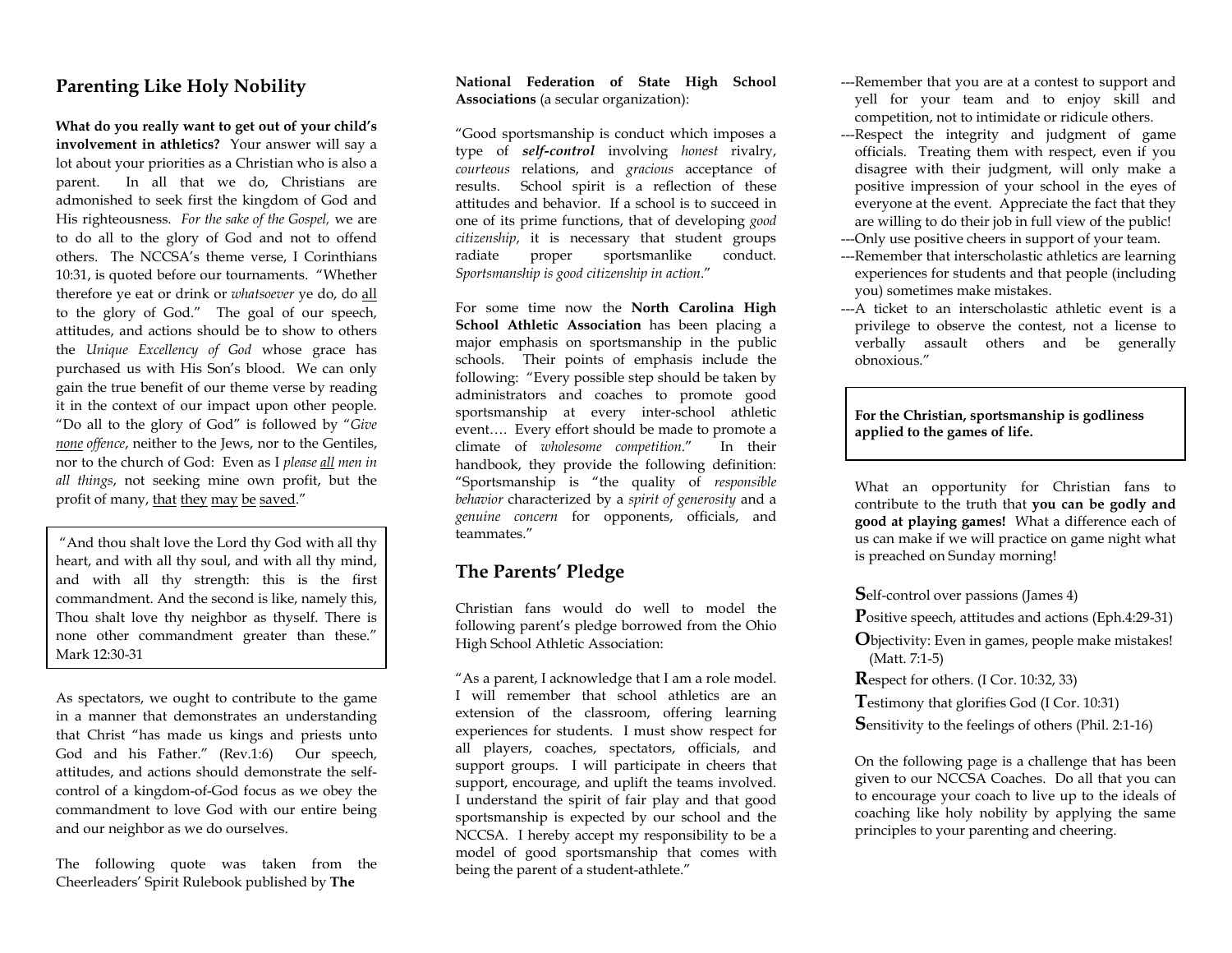## **Parenting Like Holy Nobility**

**What do you really want to get out of your child's involvement in athletics?** Your answer will say a lot about your priorities as a Christian who is also a parent. In all that we do, Christians are admonished to seek first the kingdom of God and His righteousness. *For the sake of the Gospel,* we are to do all to the glory of God and not to offend others. The NCCSA's theme verse, I Corinthians 10:31, is quoted before our tournaments. "Whether therefore ye eat or drink or *whatsoever* ye do, do all to the glory of God." The goal of our speech, attitudes, and actions should be to show to others the *Unique Excellency of God* whose grace has purchased us with His Son's blood. We can only gain the true benefit of our theme verse by reading it in the context of our impact upon other people. "Do all to the glory of God" is followed by "*Give none offence*, neither to the Jews, nor to the Gentiles, nor to the church of God: Even as I *please all men in all things*, not seeking mine own profit, but the profit of many, that they may be saved."

 "And thou shalt love the Lord thy God with all thy heart, and with all thy soul, and with all thy mind, and with all thy strength: this is the first commandment. And the second is like, namely this, Thou shalt love thy neighbor as thyself. There is none other commandment greater than these." Mark 12:30-31

As spectators, we ought to contribute to the game in a manner that demonstrates an understanding that Christ "has made us kings and priests unto God and his Father." (Rev.1:6) Our speech, attitudes, and actions should demonstrate the selfcontrol of a kingdom-of-God focus as we obey the commandment to love God with our entire being and our neighbor as we do ourselves.

The following quote was taken from the Cheerleaders' Spirit Rulebook published by **The**

## **National Federation of State High School Associations** (a secular organization):

"Good sportsmanship is conduct which imposes a type of *self-control* involving *honest* rivalry, *courteous* relations, and *gracious* acceptance of results. School spirit is a reflection of these attitudes and behavior. If a school is to succeed in one of its prime functions, that of developing *good citizenship*, it is necessary that student groups radiate proper sportsmanlike conduct. *Sportsmanship is good citizenship in action*."

For some time now the **North Carolina High School Athletic Association** has been placing a major emphasis on sportsmanship in the public schools. Their points of emphasis include the following: "Every possible step should be taken by administrators and coaches to promote good sportsmanship at every inter-school athletic event…. Every effort should be made to promote a climate of *wholesome competition*." In their handbook, they provide the following definition: "Sportsmanship is "the quality of *responsible behavior* characterized by a *spirit of generosity* and a *genuine concern* for opponents, officials, and teammates."

## **The Parents' Pledge**

Christian fans would do well to model the following parent's pledge borrowed from the Ohio High School Athletic Association:

"As a parent, I acknowledge that I am a role model. I will remember that school athletics are an extension of the classroom, offering learning experiences for students. I must show respect for all players, coaches, spectators, officials, and support groups. I will participate in cheers that support, encourage, and uplift the teams involved. I understand the spirit of fair play and that good sportsmanship is expected by our school and the NCCSA. I hereby accept my responsibility to be a model of good sportsmanship that comes with being the parent of a student-athlete."

- ---Remember that you are at a contest to support and yell for your team and to enjoy skill and competition, not to intimidate or ridicule others.
- ---Respect the integrity and judgment of game officials. Treating them with respect, even if you disagree with their judgment, will only make a positive impression of your school in the eyes of everyone at the event. Appreciate the fact that they are willing to do their job in full view of the public!
- ---Only use positive cheers in support of your team.
- ---Remember that interscholastic athletics are learning experiences for students and that people (including you) sometimes make mistakes.
- ---A ticket to an interscholastic athletic event is a privilege to observe the contest, not a license to verbally assault others and be generally obnoxious."

**For the Christian, sportsmanship is godliness applied to the games of life.** 

What an opportunity for Christian fans to contribute to the truth that **you can be godly and good at playing games!** What a difference each of us can make if we will practice on game night what is preached on Sunday morning!

**S**elf-control over passions (James 4)

**P**ositive speech, attitudes and actions (Eph.4:29-31)

- **O**bjectivity: Even in games, people make mistakes! (Matt. 7:1-5)
- **R**espect for others. (I Cor. 10:32, 33)

**T**estimony that glorifies God (I Cor. 10:31)

**S**ensitivity to the feelings of others (Phil. 2:1-16)

On the following page is a challenge that has been given to our NCCSA Coaches. Do all that you can to encourage your coach to live up to the ideals of coaching like holy nobility by applying the same principles to your parenting and cheering.